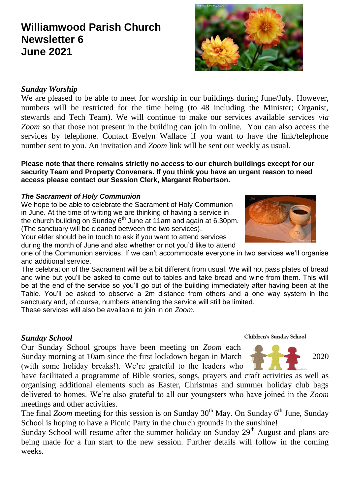# **Williamwood Parish Church Newsletter 6 June 2021**

# *Sunday Worship*

We are pleased to be able to meet for worship in our buildings during June/July. However, numbers will be restricted for the time being (to 48 including the Minister; Organist, stewards and Tech Team). We will continue to make our services available services *via Zoom* so that those not present in the building can join in online. You can also access the services by telephone. Contact Evelyn Wallace if you want to have the link/telephone number sent to you. An invitation and *Zoom* link will be sent out weekly as usual.

#### **Please note that there remains strictly no access to our church buildings except for our security Team and Property Conveners. If you think you have an urgent reason to need access please contact our Session Clerk, Margaret Robertson.**

## *The Sacrament of Holy Communion*

We hope to be able to celebrate the Sacrament of Holy Communion in June. At the time of writing we are thinking of having a service in the church building on Sunday 6<sup>th</sup> June at 11am and again at 6.30pm. (The sanctuary will be cleaned between the two services).

Your elder should be in touch to ask if you want to attend services during the month of June and also whether or not you'd like to attend

one of the Communion services. If we can't accommodate everyone in two services we'll organise and additional service.

The celebration of the Sacrament will be a bit different from usual. We will not pass plates of bread and wine but you'll be asked to come out to tables and take bread and wine from them. This will be at the end of the service so you'll go out of the building immediately after having been at the Table. You'll be asked to observe a 2m distance from others and a one way system in the sanctuary and, of course, numbers attending the service will still be limited.

These services will also be available to join in on *Zoom.*

#### *Sunday School*

Our Sunday School groups have been meeting on *Zoom* each Sunday morning at 10am since the first lockdown began in March 2020 (with some holiday breaks!). We're grateful to the leaders who

have facilitated a programme of Bible stories, songs, prayers and craft activities as well as organising additional elements such as Easter, Christmas and summer holiday club bags delivered to homes. We're also grateful to all our youngsters who have joined in the *Zoom*  meetings and other activities.

The final *Zoom* meeting for this session is on Sunday 30<sup>th</sup> May. On Sunday 6<sup>th</sup> June, Sunday School is hoping to have a Picnic Party in the church grounds in the sunshine!

Sunday School will resume after the summer holiday on Sunday  $29<sup>th</sup>$  August and plans are being made for a fun start to the new session. Further details will follow in the coming weeks.

**Children's Sunday School** 





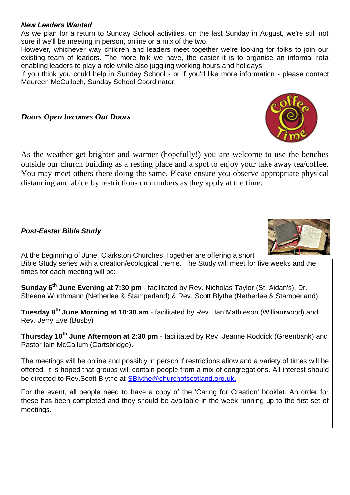#### *New Leaders Wanted*

As we plan for a return to Sunday School activities, on the last Sunday in August, we're still not sure if we'll be meeting in person, online or a mix of the two.

However, whichever way children and leaders meet together we're looking for folks to join our existing team of leaders. The more folk we have, the easier it is to organise an informal rota enabling leaders to play a role while also juggling working hours and holidays

If you think you could help in Sunday School - or if you'd like more information - please contact Maureen McCulloch, Sunday School Coordinator

# *Doors Open becomes Out Doors*

As the weather get brighter and warmer (hopefully!) you are welcome to use the benches outside our church building as a resting place and a spot to enjoy your take away tea/coffee. You may meet others there doing the same. Please ensure you observe appropriate physical distancing and abide by restrictions on numbers as they apply at the time.

## *Post-Easter Bible Study*

At the beginning of June, Clarkston Churches Together are offering a short Bible Study series with a creation/ecological theme. The Study will meet for five weeks and the times for each meeting will be:

**Sunday 6th June Evening at 7:30 pm** - facilitated by Rev. Nicholas Taylor (St. Aidan's), Dr. Sheena Wurthmann (Netherlee & Stamperland) & Rev. Scott Blythe (Netherlee & Stamperland)

**Tuesday 8th June Morning at 10:30 am** - facilitated by Rev. Jan Mathieson (Williamwood) and Rev. Jerry Eve (Busby)

**Thursday 10th June Afternoon at 2:30 pm** - facilitated by Rev. Jeanne Roddick (Greenbank) and Pastor Iain McCallum (Cartsbridge).

The meetings will be online and possibly in person if restrictions allow and a variety of times will be offered. It is hoped that groups will contain people from a mix of congregations. All interest should be directed to Rev. Scott Blythe at [SBlythe@churchofscotland.org.uk.](mailto:SBlythe@churchofscotland.org.uk)

For the event, all people need to have a copy of the 'Caring for Creation' booklet. An order for these has been completed and they should be available in the week running up to the first set of meetings.



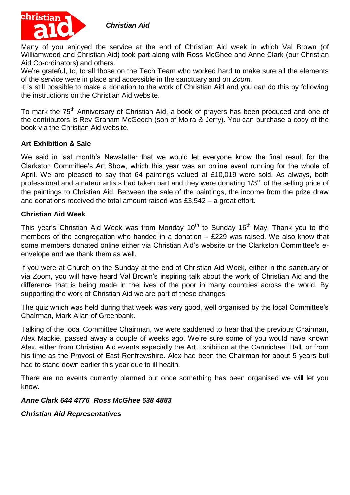*Christian Aid* 



Many of you enjoyed the service at the end of Christian Aid week in which Val Brown (of Williamwood and Christian Aid) took part along with Ross McGhee and Anne Clark (our Christian Aid Co-ordinators) and others.

We're grateful, to, to all those on the Tech Team who worked hard to make sure all the elements of the service were in place and accessible in the sanctuary and on *Zoom.*

It is still possible to make a donation to the work of Christian Aid and you can do this by following the instructions on the Christian Aid website.

To mark the 75<sup>th</sup> Anniversary of Christian Aid, a book of prayers has been produced and one of the contributors is Rev Graham McGeoch (son of Moira & Jerry). You can purchase a copy of the book via the Christian Aid website.

## **Art Exhibition & Sale**

We said in last month's Newsletter that we would let everyone know the final result for the Clarkston Committee's Art Show, which this year was an online event running for the whole of April. We are pleased to say that 64 paintings valued at £10,019 were sold. As always, both professional and amateur artists had taken part and they were donating 1/3<sup>rd</sup> of the selling price of the paintings to Christian Aid. Between the sale of the paintings, the income from the prize draw and donations received the total amount raised was £3,542 – a great effort.

## **Christian Aid Week**

This year's Christian Aid Week was from Monday  $10^{th}$  to Sunday  $16^{th}$  May. Thank you to the members of the congregation who handed in a donation – £229 was raised. We also know that some members donated online either via Christian Aid's website or the Clarkston Committee's eenvelope and we thank them as well.

If you were at Church on the Sunday at the end of Christian Aid Week, either in the sanctuary or via Zoom, you will have heard Val Brown's inspiring talk about the work of Christian Aid and the difference that is being made in the lives of the poor in many countries across the world. By supporting the work of Christian Aid we are part of these changes.

The quiz which was held during that week was very good, well organised by the local Committee's Chairman, Mark Allan of Greenbank.

Talking of the local Committee Chairman, we were saddened to hear that the previous Chairman, Alex Mackie, passed away a couple of weeks ago. We're sure some of you would have known Alex, either from Christian Aid events especially the Art Exhibition at the Carmichael Hall, or from his time as the Provost of East Renfrewshire. Alex had been the Chairman for about 5 years but had to stand down earlier this year due to ill health.

There are no events currently planned but once something has been organised we will let you know.

#### *Anne Clark 644 4776 Ross McGhee 638 4883*

*Christian Aid Representatives*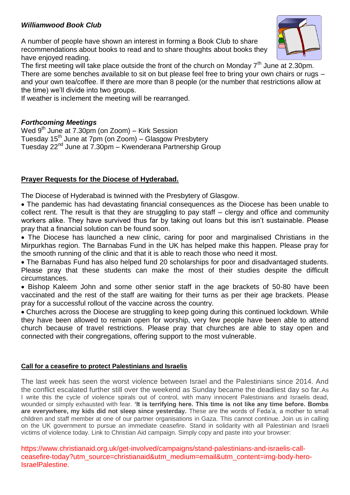# *Williamwood Book Club*

A number of people have shown an interest in forming a Book Club to share recommendations about books to read and to share thoughts about books they have enjoyed reading.



The first meeting will take place outside the front of the church on Monday  $7<sup>th</sup>$  June at 2.30pm. There are some benches available to sit on but please feel free to bring your own chairs or rugs – and your own tea/coffee. If there are more than 8 people (or the number that restrictions allow at the time) we'll divide into two groups.

If weather is inclement the meeting will be rearranged.

#### *Forthcoming Meetings*

Wed  $9<sup>th</sup>$  June at 7.30pm (on Zoom) – Kirk Session Tuesday 15th June at 7pm (on Zoom) – Glasgow Presbytery Tuesday 22nd June at 7.30pm – Kwenderana Partnership Group

## **Prayer Requests for the Diocese of Hyderabad.**

The Diocese of Hyderabad is twinned with the Presbytery of Glasgow.

 The pandemic has had devastating financial consequences as the Diocese has been unable to collect rent. The result is that they are struggling to pay staff – clergy and office and community workers alike. They have survived thus far by taking out loans but this isn't sustainable. Please pray that a financial solution can be found soon.

 The Diocese has launched a new clinic, caring for poor and marginalised Christians in the Mirpurkhas region. The Barnabas Fund in the UK has helped make this happen. Please pray for the smooth running of the clinic and that it is able to reach those who need it most.

 The Barnabas Fund has also helped fund 20 scholarships for poor and disadvantaged students. Please pray that these students can make the most of their studies despite the difficult circumstances.

• Bishop Kaleem John and some other senior staff in the age brackets of 50-80 have been vaccinated and the rest of the staff are waiting for their turns as per their age brackets. Please pray for a successful rollout of the vaccine across the country.

 Churches across the Diocese are struggling to keep going during this continued lockdown. While they have been allowed to remain open for worship, very few people have been able to attend church because of travel restrictions. Please pray that churches are able to stay open and connected with their congregations, offering support to the most vulnerable.

#### **Call for a ceasefire to protect Palestinians and Israelis**

The last week has seen the worst violence between Israel and the Palestinians since 2014. And the conflict escalated further still over the weekend as Sunday became the deadliest day so far.As I write this the cycle of violence spirals out of control, with many innocent Palestinians and Israelis dead, wounded or simply exhausted with fear. **'It is terrifying here. This time is not like any time before. Bombs are everywhere, my kids did not sleep since yesterday.** These are the words of Feda'a, a mother to small children and staff member at one of our partner organisations in Gaza. This cannot continue. Join us in calling on the UK government to pursue an immediate ceasefire. Stand in solidarity with all Palestinian and Israeli victims of violence today. Link to Christian Aid campaign. Simply copy and paste into your browser:

https://www.christianaid.org.uk/get-involved/campaigns/stand-palestinians-and-israelis-callceasefire-today?utm\_source=christianaid&utm\_medium=email&utm\_content=img-body-hero-IsraelPalestine.